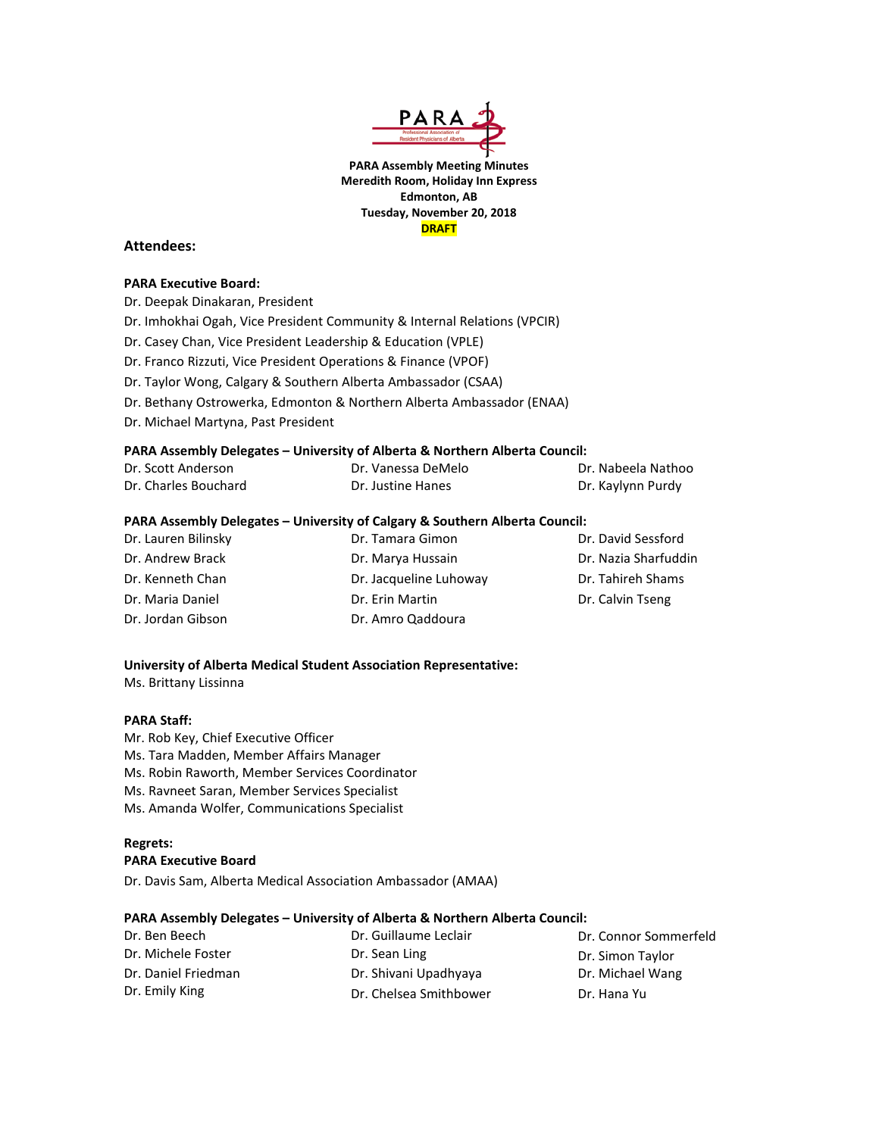

**PARA Assembly Meeting Minutes Meredith Room, Holiday Inn Express Edmonton, AB Tuesday, November 20, 2018 DRAFT**

### **Attendees:**

#### **PARA Executive Board:**

Dr. Deepak Dinakaran, President

- Dr. Imhokhai Ogah, Vice President Community & Internal Relations (VPCIR)
- Dr. Casey Chan, Vice President Leadership & Education (VPLE)
- Dr. Franco Rizzuti, Vice President Operations & Finance (VPOF)
- Dr. Taylor Wong, Calgary & Southern Alberta Ambassador (CSAA)
- Dr. Bethany Ostrowerka, Edmonton & Northern Alberta Ambassador (ENAA)
- Dr. Michael Martyna, Past President

### **PARA Assembly Delegates – University of Alberta & Northern Alberta Council:**

| Dr. Scott Anderson   | Dr. Vanessa DeMelo | Dr. Nabeela Nathoo |  |
|----------------------|--------------------|--------------------|--|
| Dr. Charles Bouchard | Dr. Justine Hanes  | Dr. Kaylynn Purdy  |  |

#### **PARA Assembly Delegates – University of Calgary & Southern Alberta Council:**

| Dr. Lauren Bilinsky | Dr. Tamara Gimon       | Dr. David Sessford   |
|---------------------|------------------------|----------------------|
| Dr. Andrew Brack    | Dr. Marya Hussain      | Dr. Nazia Sharfuddin |
| Dr. Kenneth Chan    | Dr. Jacqueline Luhoway | Dr. Tahireh Shams    |
| Dr. Maria Daniel    | Dr. Erin Martin        | Dr. Calvin Tseng     |
| Dr. Jordan Gibson   | Dr. Amro Qaddoura      |                      |

#### **University of Alberta Medical Student Association Representative:**

Ms. Brittany Lissinna

#### **PARA Staff:**

Mr. Rob Key, Chief Executive Officer Ms. Tara Madden, Member Affairs Manager Ms. Robin Raworth, Member Services Coordinator Ms. Ravneet Saran, Member Services Specialist Ms. Amanda Wolfer, Communications Specialist

#### **Regrets: PARA Executive Board**

Dr. Davis Sam, Alberta Medical Association Ambassador (AMAA)

#### **PARA Assembly Delegates – University of Alberta & Northern Alberta Council:**

| Dr. Ben Beech       | Dr. Guillaume Leclair  | Dr. Connor Sommerfeld |
|---------------------|------------------------|-----------------------|
| Dr. Michele Foster  | Dr. Sean Ling          | Dr. Simon Taylor      |
| Dr. Daniel Friedman | Dr. Shivani Upadhyaya  | Dr. Michael Wang      |
| Dr. Emily King      | Dr. Chelsea Smithbower | Dr. Hana Yu           |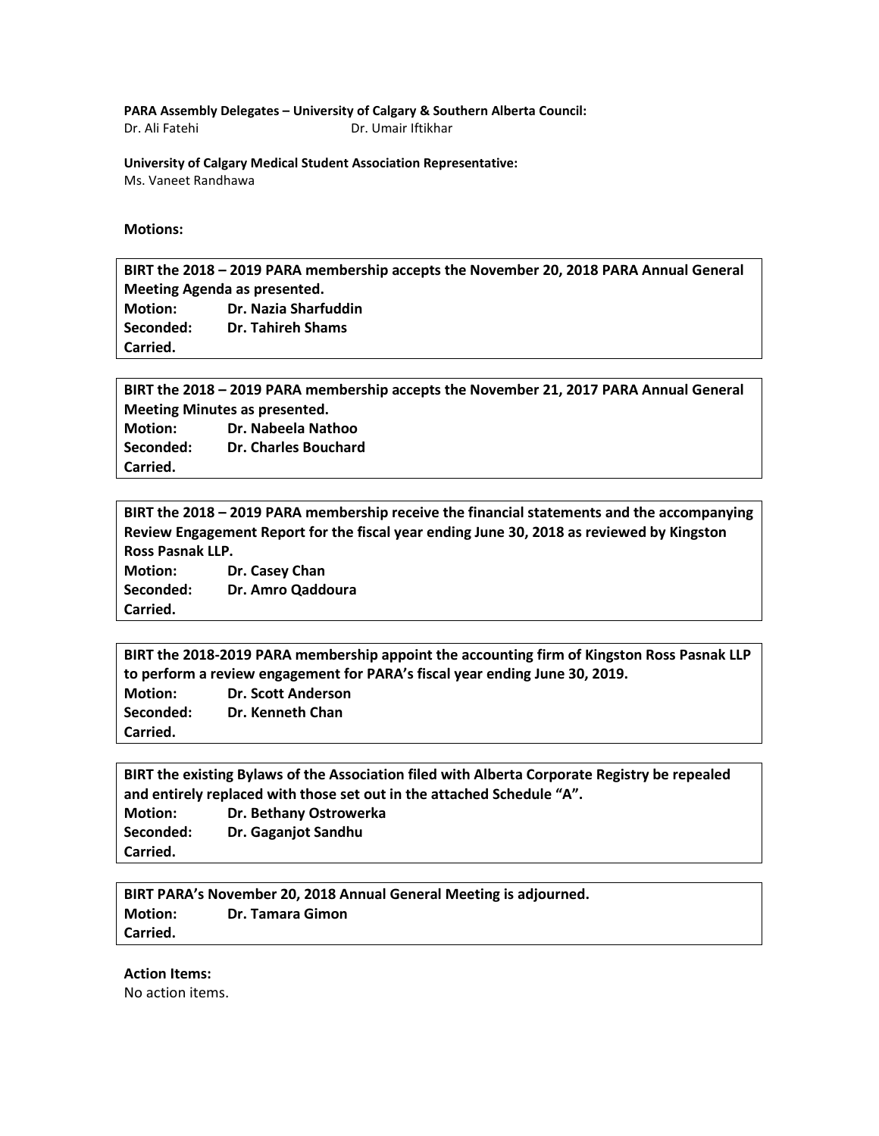**PARA Assembly Delegates – University of Calgary & Southern Alberta Council:**

Dr. Ali Fatehi Dr. Umair Iftikhar

**University of Calgary Medical Student Association Representative:** Ms. Vaneet Randhawa

## **Motions:**

**BIRT the 2018 – 2019 PARA membership accepts the November 20, 2018 PARA Annual General Meeting Agenda as presented.**

**Motion: Dr. Nazia Sharfuddin Seconded: Dr. Tahireh Shams Carried.**

**BIRT the 2018 – 2019 PARA membership accepts the November 21, 2017 PARA Annual General Meeting Minutes as presented. Motion: Dr. Nabeela Nathoo Seconded: Dr. Charles Bouchard Carried.**

**BIRT the 2018 – 2019 PARA membership receive the financial statements and the accompanying Review Engagement Report for the fiscal year ending June 30, 2018 as reviewed by Kingston Ross Pasnak LLP.**

**Motion: Dr. Casey Chan Seconded: Dr. Amro Qaddoura Carried.**

**BIRT the 2018-2019 PARA membership appoint the accounting firm of Kingston Ross Pasnak LLP to perform a review engagement for PARA's fiscal year ending June 30, 2019. Motion: Dr. Scott Anderson Seconded: Dr. Kenneth Chan Carried.**

**BIRT the existing Bylaws of the Association filed with Alberta Corporate Registry be repealed and entirely replaced with those set out in the attached Schedule "A". Motion: Dr. Bethany Ostrowerka Seconded: Dr. Gaganjot Sandhu Carried.**

**BIRT PARA's November 20, 2018 Annual General Meeting is adjourned. Motion: Dr. Tamara Gimon Carried.**

## **Action Items:**

No action items.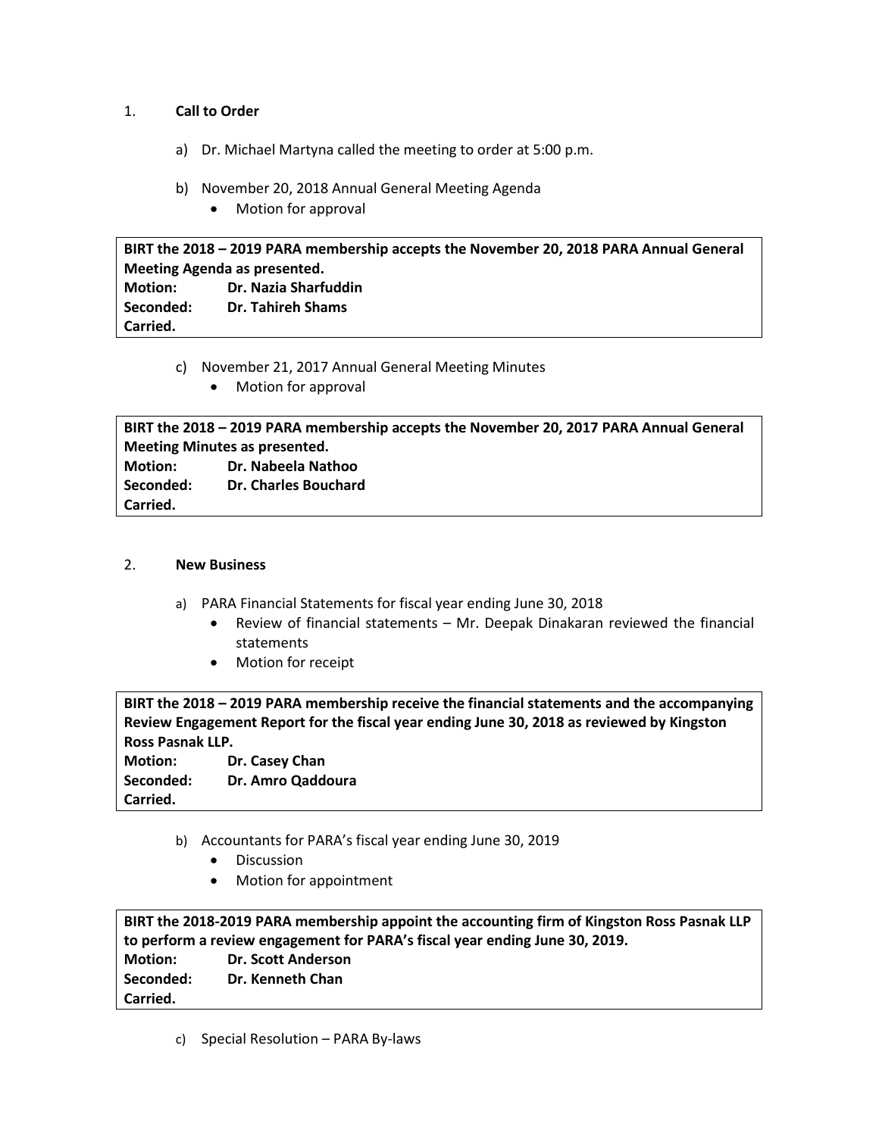# 1. **Call to Order**

- a) Dr. Michael Martyna called the meeting to order at 5:00 p.m.
- b) November 20, 2018 Annual General Meeting Agenda
	- Motion for approval

**BIRT the 2018 – 2019 PARA membership accepts the November 20, 2018 PARA Annual General Meeting Agenda as presented. Motion: Dr. Nazia Sharfuddin Seconded: Dr. Tahireh Shams Carried.**

- c) November 21, 2017 Annual General Meeting Minutes
	- Motion for approval

**BIRT the 2018 – 2019 PARA membership accepts the November 20, 2017 PARA Annual General Meeting Minutes as presented. Motion: Dr. Nabeela Nathoo Seconded: Dr. Charles Bouchard Carried.**

# 2. **New Business**

- a) PARA Financial Statements for fiscal year ending June 30, 2018
	- Review of financial statements Mr. Deepak Dinakaran reviewed the financial statements
	- Motion for receipt

**BIRT the 2018 – 2019 PARA membership receive the financial statements and the accompanying Review Engagement Report for the fiscal year ending June 30, 2018 as reviewed by Kingston Ross Pasnak LLP.**

**Motion: Dr. Casey Chan Seconded: Dr. Amro Qaddoura Carried.**

- b) Accountants for PARA's fiscal year ending June 30, 2019
	- Discussion
	- Motion for appointment

**BIRT the 2018-2019 PARA membership appoint the accounting firm of Kingston Ross Pasnak LLP to perform a review engagement for PARA's fiscal year ending June 30, 2019. Motion: Dr. Scott Anderson Seconded: Dr. Kenneth Chan Carried.**

c) Special Resolution – PARA By-laws